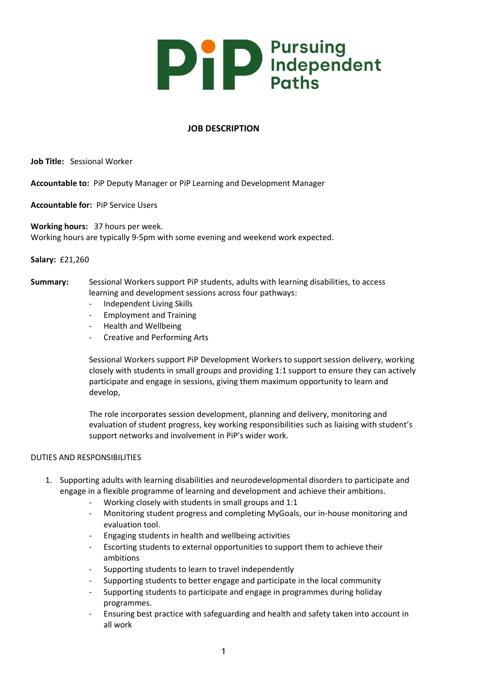

# **JOB DESCRIPTION**

**Job Title:** Sessional Worker

**Accountable to:** PiP Deputy Manager or PiP Learning and Development Manager

**Accountable for:** PiP Service Users

**Working hours:** 37 hours per week. Working hours are typically 9-5pm with some evening and weekend work expected.

**Salary:** £21,260

- **Summary:** Sessional Workers support PiP students, adults with learning disabilities, to access learning and development sessions across four pathways:
	- Independent Living Skills
	- Employment and Training
	- Health and Wellbeing
	- Creative and Performing Arts

Sessional Workers support PiP Development Workers to support session delivery, working closely with students in small groups and providing 1:1 support to ensure they can actively participate and engage in sessions, giving them maximum opportunity to learn and develop,

The role incorporates session development, planning and delivery, monitoring and evaluation of student progress, key working responsibilities such as liaising with student's support networks and involvement in PiP's wider work.

## DUTIES AND RESPONSIBILITIES

- 1. Supporting adults with learning disabilities and neurodevelopmental disorders to participate and engage in a flexible programme of learning and development and achieve their ambitions.
	- Working closely with students in small groups and 1:1
	- Monitoring student progress and completing MyGoals, our in-house monitoring and evaluation tool.
	- Engaging students in health and wellbeing activities
	- Escorting students to external opportunities to support them to achieve their ambitions
	- Supporting students to learn to travel independently
	- Supporting students to better engage and participate in the local community
	- Supporting students to participate and engage in programmes during holiday programmes.
	- Ensuring best practice with safeguarding and health and safety taken into account in all work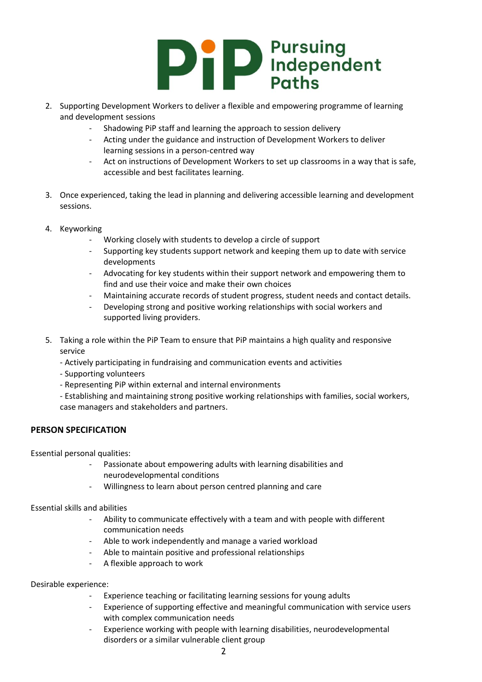# **DED** Pursuing<br>Pursuing<br>Pursuing<br>Pursuing

- 2. Supporting Development Workers to deliver a flexible and empowering programme of learning and development sessions
	- Shadowing PiP staff and learning the approach to session delivery
	- Acting under the guidance and instruction of Development Workers to deliver learning sessions in a person-centred way
	- Act on instructions of Development Workers to set up classrooms in a way that is safe, accessible and best facilitates learning.
- 3. Once experienced, taking the lead in planning and delivering accessible learning and development sessions.
- 4. Keyworking
	- Working closely with students to develop a circle of support
	- Supporting key students support network and keeping them up to date with service developments
	- Advocating for key students within their support network and empowering them to find and use their voice and make their own choices
	- Maintaining accurate records of student progress, student needs and contact details.
	- Developing strong and positive working relationships with social workers and supported living providers.
- 5. Taking a role within the PiP Team to ensure that PiP maintains a high quality and responsive service
	- Actively participating in fundraising and communication events and activities
	- Supporting volunteers
	- Representing PiP within external and internal environments
	- Establishing and maintaining strong positive working relationships with families, social workers, case managers and stakeholders and partners.

# **PERSON SPECIFICATION**

Essential personal qualities:

- Passionate about empowering adults with learning disabilities and neurodevelopmental conditions
- Willingness to learn about person centred planning and care

Essential skills and abilities

- Ability to communicate effectively with a team and with people with different communication needs
- Able to work independently and manage a varied workload
- Able to maintain positive and professional relationships
- A flexible approach to work

### Desirable experience:

- Experience teaching or facilitating learning sessions for young adults
- Experience of supporting effective and meaningful communication with service users with complex communication needs
- Experience working with people with learning disabilities, neurodevelopmental disorders or a similar vulnerable client group